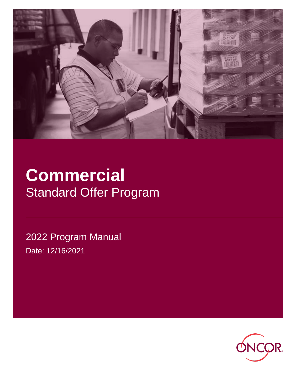

# **Commercial** Standard Offer Program

2022 Program Manual Date: 12/16/2021

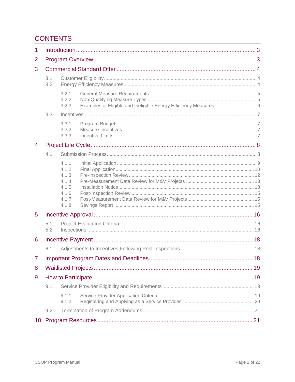# **CONTENTS**

| $\mathbf{1}$   |            |                                                                      |                                                                   |  |  |
|----------------|------------|----------------------------------------------------------------------|-------------------------------------------------------------------|--|--|
| 2              |            |                                                                      |                                                                   |  |  |
| 3              |            |                                                                      |                                                                   |  |  |
|                | 3.1<br>3.2 |                                                                      |                                                                   |  |  |
|                |            | 3.2.1<br>3.2.2<br>3.2.3                                              | Examples of Eligible and Ineligible Energy Efficiency Measures  6 |  |  |
|                | 3.3        |                                                                      |                                                                   |  |  |
|                |            | 3.3.1<br>3.3.2<br>3.3.3                                              |                                                                   |  |  |
| 4              |            |                                                                      |                                                                   |  |  |
|                | 4.1        |                                                                      |                                                                   |  |  |
|                |            | 4.1.1<br>4.1.2<br>4.1.3<br>4.1.4<br>4.1.5<br>4.1.6<br>4.1.7<br>4.1.8 |                                                                   |  |  |
| 5              |            |                                                                      |                                                                   |  |  |
|                | 5.1<br>5.2 |                                                                      |                                                                   |  |  |
| 6              |            |                                                                      |                                                                   |  |  |
|                | 6.1        |                                                                      |                                                                   |  |  |
| $\overline{7}$ |            |                                                                      |                                                                   |  |  |
| 8              |            |                                                                      |                                                                   |  |  |
| 9              |            |                                                                      |                                                                   |  |  |
|                | 9.1        |                                                                      |                                                                   |  |  |
|                |            | 9.1.1<br>9.1.2                                                       |                                                                   |  |  |
|                | 9.2        |                                                                      |                                                                   |  |  |
| 10             |            |                                                                      |                                                                   |  |  |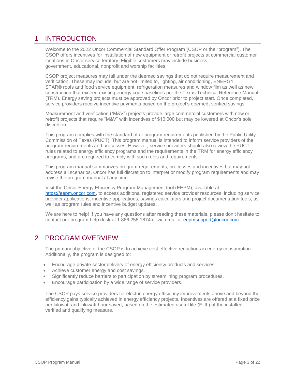# <span id="page-2-0"></span>1 INTRODUCTION

Welcome to the 2022 Oncor Commercial Standard Offer Program (CSOP or the "program"). The CSOP offers incentives for installation of new equipment or retrofit projects at commercial customer locations in Oncor service territory. Eligible customers may include business, government, educational, nonprofit and worship facilities.

CSOP project measures may fall under the deemed savings that do not require measurement and verification. These may include, but are not limited to, lighting, air conditioning, ENERGY STAR® roofs and food service equipment, refrigeration measures and window film as well as new construction that exceed existing energy code baselines per the Texas Technical Reference Manual (TRM). Energy saving projects must be approved by Oncor prior to project start. Once completed, service providers receive incentive payments based on the project's deemed, verified savings.

Measurement and verification ("M&V") projects provide large commercial customers with new or retrofit projects that require "M&V" with incentives of \$10,000 but may be lowered at Oncor's sole discretion.

This program complies with the standard offer program requirements published by the Public Utility Commission of Texas (PUCT). This program manual is intended to inform service providers of the program requirements and processes. However, service providers should also review the PUCT rules related to energy efficiency programs and the requirements in the TRM for energy efficiency programs, and are required to comply with such rules and requirements.

This program manual summarizes program requirements, processes and incentives but may not address all scenarios. Oncor has full discretion to interpret or modify program requirements and may revise the program manual at any time.

Visit the Oncor Energy Efficiency Program Management tool (EEPM), available at [https://eepm.oncor.com,](https://eepm.oncor.com/) to access additional registered service provider resources, including service provider applications, incentive applications, savings calculators and project documentation tools, as well as program rules and incentive budget updates**.**

We are here to help! If you have any questions after reading these materials, please don't hesitate to contact our program help desk at 1.866.258.1874 or via email at eep[msupport@oncor.com](mailto:support@oncor.com) .

# <span id="page-2-1"></span>2 PROGRAM OVERVIEW

The primary objective of the CSOP is to achieve cost effective reductions in energy consumption. Additionally, the program is designed to:

- Encourage private sector delivery of energy efficiency products and services.
- Achieve customer energy and cost savings.
- Significantly reduce barriers to participation by streamlining program procedures.
- Encourage participation by a wide range of service providers.

The CSOP pays service providers for electric energy efficiency improvements above and beyond the efficiency gains typically achieved in energy efficiency projects. Incentives are offered at a fixed price per kilowatt and kilowatt hour saved, based on the estimated useful life (EUL) of the installed, verified and qualifying measure.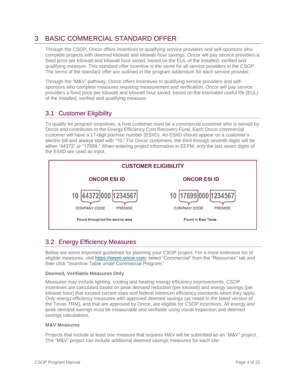# <span id="page-3-0"></span>3 BASIC COMMERCIAL STANDARD OFFER

Through the CSOP, Oncor offers incentives to qualifying service providers and self-sponsors who complete projects with deemed kilowatt and kilowatt hour savings. Oncor will pay service providers a fixed price per kilowatt and kilowatt hour saved, based on the EUL of the installed, verified and qualifying measure. This standard offer incentive is the same for all service providers in the CSOP. The terms of the standard offer are outlined in the program addendum for each service provider.

Through the "M&V" pathway, Oncor offers incentives to qualifying service providers and selfsponsors who complete measures requiring measurement and verification. Oncor will pay service providers a fixed price per kilowatt and kilowatt hour saved, based on the estimated useful life (EUL) of the installed, verified and qualifying measure.

# <span id="page-3-1"></span>3.1 Customer Eligibility

To qualify for program incentives, a host customer must be a commercial customer who is served by Oncor and contributes to the Energy Efficiency Cost Recovery Fund. Each Oncor commercial customer will have a 17-digit premise number (ESIID). An ESIID should appear on a customer's electric bill and always start with "10." For Oncor customers, the third through seventh digits will be either "44372" or "17699." When entering project information in EEPM, only the last seven digits of the ESIID are used as input.



# <span id="page-3-2"></span>3.2 Energy Efficiency Measures

Below are some important guidelines for planning your CSOP project. For a more extensive list of eligible measures, visit [https://eepm.oncor.com;](https://eepm.oncor.com/) select "Commercial" from the "Resources" tab and then click "Incentive Table under Commercial Program."

# **Deemed, Verifiable Measures Only**

Measures may include lighting, cooling and heating energy efficiency improvements. CSOP incentives are calculated based on peak demand reduction (per kilowatt) and energy savings (per kilowatt hour) that exceed current state and federal minimum efficiency standards when they apply. Only energy efficiency measures with approved deemed savings (as noted in the latest version of the Texas TRM), and that are approved by Oncor, are eligible for CSOP incentives. All energy and peak demand savings must be measurable and verifiable using visual inspection and deemed savings calculations.

## **M&V Measures**

Projects that include at least one measure that requires M&V will be submitted as an "M&V" project. The "M&V" project can include additional deemed savings measures for each site.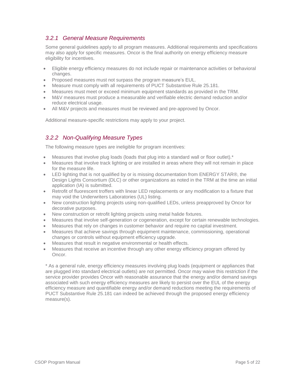# <span id="page-4-0"></span>*3.2.1 General Measure Requirements*

Some general guidelines apply to all program measures. Additional requirements and specifications may also apply for specific measures. Oncor is the final authority on energy efficiency measure eligibility for incentives.

- Eligible energy efficiency measures do not include repair or maintenance activities or behavioral changes.
- Proposed measures must not surpass the program measure's EUL.
- Measure must comply with all requirements of PUCT Substantive Rule 25.181.
- Measures must meet or exceed minimum equipment standards as provided in the TRM.
- M&V measures must produce a measurable and verifiable electric demand reduction and/or reduce electrical usage.
- All M&V projects and measures must be reviewed and pre-approved by Oncor.

Additional measure-specific restrictions may apply to your project.

# <span id="page-4-1"></span>*3.2.2 Non-Qualifying Measure Types*

The following measure types are ineligible for program incentives:

- Measures that involve plug loads (loads that plug into a standard wall or floor outlet).\*
- Measures that involve track lighting or are installed in areas where they will not remain in place for the measure life.
- LED lighting that is not qualified by or is missing documentation from ENERGY STAR®, the Design Lights Consortium (DLC) or other organizations as noted in the TRM at the time an initial application (IA) is submitted.
- Retrofit of fluorescent troffers with linear LED replacements or any modification to a fixture that may void the Underwriters Laboratories (UL) listing.
- New construction lighting projects using non-qualified LEDs, unless preapproved by Oncor for decorative purposes.
- New construction or retrofit lighting projects using metal halide fixtures.
- Measures that involve self-generation or cogeneration, except for certain renewable technologies.
- Measures that rely on changes in customer behavior and require no capital investment.
- Measures that achieve savings through equipment maintenance, commissioning, operational changes or controls without equipment efficiency upgrade.
- Measures that result in negative environmental or health effects.
- Measures that receive an incentive through any other energy efficiency program offered by Oncor.

\* As a general rule, energy efficiency measures involving plug loads (equipment or appliances that are plugged into standard electrical outlets) are not permitted. Oncor may waive this restriction if the service provider provides Oncor with reasonable assurance that the energy and/or demand savings associated with such energy efficiency measures are likely to persist over the EUL of the energy efficiency measure and quantifiable energy and/or demand reductions meeting the requirements of PUCT Substantive Rule 25.181 can indeed be achieved through the proposed energy efficiency measure(s).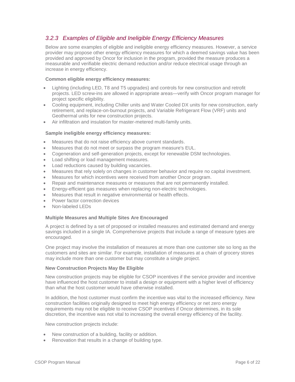# <span id="page-5-0"></span>*3.2.3 Examples of Eligible and Ineligible Energy Efficiency Measures*

Below are some examples of eligible and ineligible energy efficiency measures. However, a service provider may propose other energy efficiency measures for which a deemed savings value has been provided and approved by Oncor for inclusion in the program, provided the measure produces a measurable and verifiable electric demand reduction and/or reduce electrical usage through an increase in energy efficiency.

## **Common eligible energy efficiency measures:**

- Lighting (including LED, T8 and T5 upgrades) and controls for new construction and retrofit projects. LED screw-ins are allowed in appropriate areas—verify with Oncor program manager for project specific eligibility.
- Cooling equipment, including Chiller units and Water Cooled DX units for new construction, early retirement, and replace-on-burnout projects, and Variable Refrigerant Flow (VRF) units and Geothermal units for new construction projects.
- Air infiltration and insulation for master-metered multi-family units.

## **Sample ineligible energy efficiency measures:**

- Measures that do not raise efficiency above current standards.
- Measures that do not meet or surpass the program measure's EUL.
- Cogeneration and self-generation projects, except for renewable DSM technologies.
- Load shifting or load management measures.
- Load reductions caused by building vacancies.
- Measures that rely solely on changes in customer behavior and require no capital investment.
- Measures for which incentives were received from another Oncor program.
- Repair and maintenance measures or measures that are not permanently installed.
- Energy-efficient gas measures when replacing non-electric technologies.
- Measures that result in negative environmental or health effects.
- Power factor correction devices
- Non-labeled LEDs

## **Multiple Measures and Multiple Sites Are Encouraged**

A project is defined by a set of proposed or installed measures and estimated demand and energy savings included in a single IA. Comprehensive projects that include a range of measure types are encouraged.

One project may involve the installation of measures at more than one customer site so long as the customers and sites are similar. For example, installation of measures at a chain of grocery stores may include more than one customer but may constitute a single project.

# **New Construction Projects May Be Eligible**

New construction projects may be eligible for CSOP incentives if the service provider and incentive have influenced the host customer to install a design or equipment with a higher level of efficiency than what the host customer would have otherwise installed.

In addition, the host customer must confirm the incentive was vital to the increased efficiency. New construction facilities originally designed to meet high energy efficiency or net zero energy requirements may not be eligible to receive CSOP incentives if Oncor determines, in its sole discretion, the incentive was not vital to increasing the overall energy efficiency of the facility.

New construction projects include:

- New construction of a building, facility or addition.
- Renovation that results in a change of building type.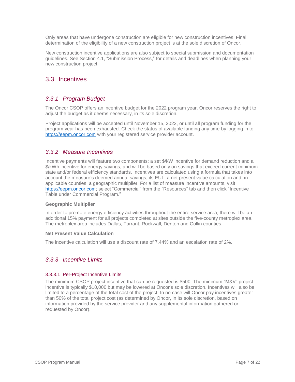Only areas that have undergone construction are eligible for new construction incentives. Final determination of the eligibility of a new construction project is at the sole discretion of Oncor.

New construction incentive applications are also subject to special submission and documentation guidelines. See Section 4.1, "Submission Process," for details and deadlines when planning your new construction project.

# <span id="page-6-0"></span>3.3 Incentives

# <span id="page-6-1"></span>*3.3.1 Program Budget*

The Oncor CSOP offers an incentive budget for the 2022 program year. Oncor reserves the right to adjust the budget as it deems necessary, in its sole discretion.

Project applications will be accepted until November 15, 2022, or until all program funding for the program year has been exhausted. Check the status of available funding any time by logging in to [https://eepm.oncor.com](https://eepm.oncor.com/) with your registered service provider account.

# <span id="page-6-2"></span>*3.3.2 Measure Incentives*

Incentive payments will feature two components: a set \$/kW incentive for demand reduction and a \$/kWh incentive for energy savings, and will be based only on savings that exceed current minimum state and/or federal efficiency standards. Incentives are calculated using a formula that takes into account the measure's deemed annual savings, its EUL, a net present value calculation and, in applicable counties, a geographic multiplier. For a list of measure incentive amounts, visit [https://eepm.oncor.com;](https://eepm.oncor.com/) select "Commercial" from the "Resources" tab and then click "Incentive Table under Commercial Program."

# **Geographic Multiplier**

In order to promote energy efficiency activities throughout the entire service area, there will be an additional 15% payment for all projects completed at sites outside the five-county metroplex area. The metroplex area includes Dallas, Tarrant, Rockwall, Denton and Collin counties.

## **Net Present Value Calculation**

The incentive calculation will use a discount rate of 7.44% and an escalation rate of 2%.

# <span id="page-6-3"></span>*3.3.3 Incentive Limits*

## 3.3.3.1 Per-Project Incentive Limits

The minimum CSOP project incentive that can be requested is \$500. The minimum "M&V" project incentive is typically \$10,000 but may be lowered at Oncor's sole discretion. Incentives will also be limited to a percentage of the total cost of the project. In no case will Oncor pay incentives greater than 50% of the total project cost (as determined by Oncor, in its sole discretion, based on information provided by the service provider and any supplemental information gathered or requested by Oncor).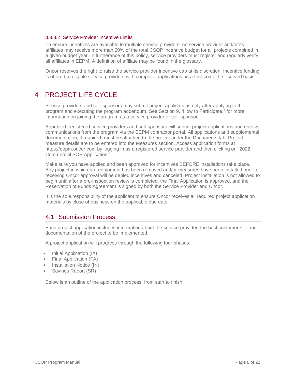## 3.3.3.2 Service Provider Incentive Limits

To ensure incentives are available to multiple service providers, no service provider and/or its affiliates may receive more than 20% of the total CSOP incentive budget for all projects combined in a given budget year. In furtherance of this policy, service providers must register and regularly verify all affiliates in EEPM. A definition of affiliate may be found in the glossary.

Oncor reserves the right to raise the service provider incentive cap at its discretion. Incentive funding is offered to eligible service providers with complete applications on a first-come, first-served basis.

# <span id="page-7-0"></span>4 PROJECT LIFE CYCLE

Service providers and self-sponsors may submit project applications only after applying to the program and executing the program addendum. See Section 9, "How to Participate," for more information on joining the program as a service provider or self-sponsor.

Approved, registered service providers and self-sponsors will submit project applications and receive communications from the program via the EEPM contractor portal. All applications and supplemental documentation, if required, must be attached to the project under the Documents tab. Project measure details are to be entered into the Measures section. Access application forms at [https://eepm.oncor.com](https://eepm.oncor.com/) by logging in as a registered service provider and then clicking on "2022 Commercial SOP Application."

Make sure you have applied and been approved for incentives BEFORE installations take place. Any project in which pre-equipment has been removed and/or measures have been installed prior to receiving Oncor approval will be denied incentives and canceled. Project installation is not allowed to begin until after a pre-inspection review is completed, the Final Application is approved, and the Reservation of Funds Agreement is signed by both the Service Provider and Oncor.

It is the sole responsibility of the applicant to ensure Oncor receives all required project application materials by close of business on the applicable due date.

# <span id="page-7-1"></span>4.1 Submission Process

Each project application includes information about the service provider, the host customer site and documentation of the project to be implemented.

A project application will progress through the following four phases:

- Initial Application (IA)
- Final Application (FA)
- Installation Notice (IN)
- Savings Report (SR)

Below is an outline of the application process, from start to finish.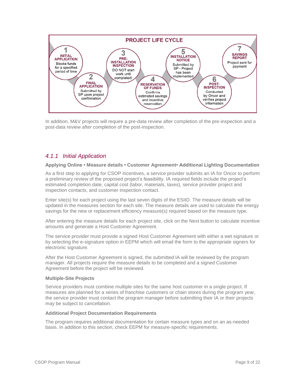

In addition, M&V projects will require a pre-data review after completion of the pre-inspection and a post-data review after completion of the post-inspection.

# <span id="page-8-0"></span>*4.1.1 Initial Application*

#### **Applying Online • Measure details • Customer Agreement• Additional Lighting Documentation**

As a first step to applying for CSOP incentives, a service provider submits an IA for Oncor to perform a preliminary review of the proposed project's feasibility. IA required fields include the project's estimated completion date, capital cost (labor, materials, taxes), service provider project and inspection contacts, and customer inspection contact.

Enter site(s) for each project using the last seven digits of the ESIID. The measure details will be updated in the measures section for each site. The measure details are used to calculate the energy savings for the new or replacement efficiency measure(s) required based on the measure type.

After entering the measure details for each project site, click on the Next button to calculate incentive amounts and generate a Host Customer Agreement.

The service provider must provide a signed Host Customer Agreement with either a wet signature or by selecting the e-signature option in EEPM which will email the form to the appropriate signers for electronic signature.

After the Host Customer Agreement is signed, the submitted IA will be reviewed by the program manager. All projects require the measure details to be completed and a signed Customer Agreement before the project will be reviewed.

## **Multiple-Site Projects**

Service providers must combine multiple sites for the same host customer in a single project. If measures are planned for a series of franchise customers or chain stores during the program year, the service provider must contact the program manager before submitting their IA or their projects may be subject to cancellation.

#### **Additional Project Documentation Requirements**

The program requires additional documentation for certain measure types and on an as-needed basis. In addition to this section, check EEPM for measure-specific requirements.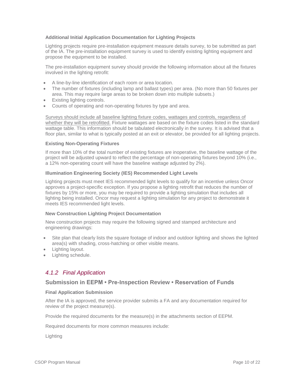# **Additional Initial Application Documentation for Lighting Projects**

Lighting projects require pre-installation equipment measure details survey, to be submitted as part of the IA. The pre-installation equipment survey is used to identify existing lighting equipment and propose the equipment to be installed.

The pre-installation equipment survey should provide the following information about all the fixtures involved in the lighting retrofit:

- A line-by-line identification of each room or area location.
- The number of fixtures (including lamp and ballast types) per area. (No more than 50 fixtures per area. This may require large areas to be broken down into multiple subsets.)
- Existing lighting controls.
- Counts of operating and non-operating fixtures by type and area.

Surveys should include all baseline lighting fixture codes, wattages and controls, regardless of whether they will be retrofitted. Fixture wattages are based on the fixture codes listed in the standard wattage table. This information should be tabulated electronically in the survey. It is advised that a floor plan, similar to what is typically posted at an exit or elevator, be provided for all lighting projects.

#### **Existing Non-Operating Fixtures**

If more than 10% of the total number of existing fixtures are inoperative, the baseline wattage of the project will be adjusted upward to reflect the percentage of non-operating fixtures beyond 10% (i.e., a 12% non-operating count will have the baseline wattage adjusted by 2%).

## **Illumination Engineering Society (IES) Recommended Light Levels**

Lighting projects must meet IES recommended light levels to qualify for an incentive unless Oncor approves a project-specific exception. If you propose a lighting retrofit that reduces the number of fixtures by 15% or more, you may be required to provide a lighting simulation that includes all lighting being installed. Oncor may request a lighting simulation for any project to demonstrate it meets IES recommended light levels.

## **New Construction Lighting Project Documentation**

New construction projects may require the following signed and stamped architecture and engineering drawings:

- Site plan that clearly lists the square footage of indoor and outdoor lighting and shows the lighted area(s) with shading, cross-hatching or other visible means.
- Lighting layout.
- Lighting schedule.

# <span id="page-9-0"></span>*4.1.2 Final Application*

# **Submission in EEPM • Pre-Inspection Review • Reservation of Funds**

## **Final Application Submission**

After the IA is approved, the service provider submits a FA and any documentation required for review of the project measure(s).

Provide the required documents for the measure(s) in the attachments section of EEPM.

Required documents for more common measures include:

Lighting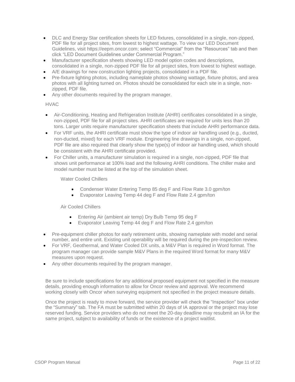- DLC and Energy Star certification sheets for LED fixtures, consolidated in a single, non-zipped, PDF file for all project sites, from lowest to highest wattage. To view our LED Document Guidelines, visit [https://eepm.oncor.com;](https://eepm.oncor.com/) select "Commercial" from the "Resources" tab and then click "LED Document Guidelines under Commercial Program."
- Manufacturer specification sheets showing LED model option codes and descriptions, consolidated in a single, non-zipped PDF file for all project sites, from lowest to highest wattage.
- A/E drawings for new construction lighting projects, consolidated in a PDF file.
- Pre-fixture lighting photos, including nameplate photos showing wattage, fixture photos, and area photos with all lighting turned on. Photos should be consolidated for each site in a single, nonzipped, PDF file.
- Any other documents required by the program manager.

# HVAC

- Air-Conditioning, Heating and Refrigeration Institute (AHRI) certificates consolidated in a single, non-zipped, PDF file for all project sites. AHRI certificates are required for units less than 20 tons. Larger units require manufacturer specification sheets that include AHRI performance data.
- For VRF units, the AHRI certificate must show the type of indoor air handling used (e.g., ducted, non-ducted, mixed) for each VRF module. Engineering line drawings in a single, non-zipped, PDF file are also required that clearly show the type(s) of indoor air handling used, which should be consistent with the AHRI certificate provided.
- For Chiller units, a manufacturer simulation is required in a single, non-zipped, PDF file that shows unit performance at 100% load and the following AHRI conditions. The chiller make and model number must be listed at the top of the simulation sheet.

# Water Cooled Chillers

- Condenser Water Entering Temp 85 deg F and Flow Rate 3.0 gpm/ton
- Evaporator Leaving Temp 44 deg F and Flow Rate 2.4 gpm/ton

Air Cooled Chillers

- **Entering Air (ambient air temp) Dry Bulb Temp 95 deg F**
- Evaporator Leaving Temp 44 deg F and Flow Rate 2.4 gpm/ton
- Pre-equipment chiller photos for early retirement units, showing nameplate with model and serial number, and entire unit. Existing unit operability will be required during the pre-inspection review.
- For VRF, Geothermal, and Water Cooled DX units, a M&V Plan is required in Word format. The program manager can provide sample M&V Plans in the required Word format for many M&V measures upon request.
- Any other documents required by the program manager.

Be sure to include specifications for any additional proposed equipment not specified in the measure details, providing enough information to allow for Oncor review and approval. We recommend working closely with Oncor when surveying equipment not specified in the project measure details.

Once the project is ready to move forward, the service provider will check the "Inspection" box under the "Summary" tab. The FA must be submitted within 20 days of IA approval or the project may lose reserved funding. Service providers who do not meet the 20-day deadline may resubmit an IA for the same project, subject to availability of funds or the existence of a project waitlist.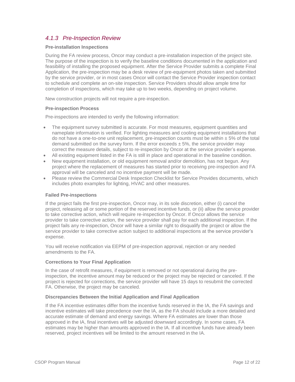# <span id="page-11-0"></span>*4.1.3 Pre-Inspection Review*

## **Pre-installation Inspections**

During the FA review process, Oncor may conduct a pre-installation inspection of the project site. The purpose of the inspection is to verify the baseline conditions documented in the application and feasibility of installing the proposed equipment. After the Service Provider submits a complete Final Application, the pre-inspection may be a desk review of pre-equipment photos taken and submitted by the service provider, or in most cases Oncor will contact the Service Provider inspection contact to schedule and complete an on-site inspection. Service Providers should allow ample time for completion of inspections, which may take up to two weeks, depending on project volume.

New construction projects will not require a pre-inspection.

## **Pre-inspection Process**

Pre-inspections are intended to verify the following information:

- The equipment survey submitted is accurate. For most measures, equipment quantities and nameplate information is verified. For lighting measures and cooling equipment installations that do not have a one-to-one unit replacement, pre-inspection counts must be within  $\pm$  5% of the total demand submitted on the survey form. If the error exceeds  $\pm$  5%, the service provider may correct the measure details, subject to re-inspection by Oncor at the service provider's expense.
- All existing equipment listed in the FA is still in place and operational in the baseline condition.
- New equipment installation, or old equipment removal and/or demolition, has not begun. Any project where the replacement of measures has started prior to receiving pre-inspection and FA approval will be canceled and no incentive payment will be made.
- Please review the Commercial Desk Inspection Checklist for Service Provides documents, which includes photo examples for lighting, HVAC and other measures.

## **Failed Pre-inspections**

If the project fails the first pre-inspection, Oncor may, in its sole discretion, either (i) cancel the project, releasing all or some portion of the reserved incentive funds, or (ii) allow the service provider to take corrective action, which will require re-inspection by Oncor. If Oncor allows the service provider to take corrective action, the service provider shall pay for each additional inspection. If the project fails any re-inspection, Oncor will have a similar right to disqualify the project or allow the service provider to take corrective action subject to additional inspections at the service provider's expense.

You will receive notification via EEPM of pre-inspection approval, rejection or any needed amendments to the FA.

## **Corrections to Your Final Application**

In the case of retrofit measures, if equipment is removed or not operational during the preinspection, the incentive amount may be reduced or the project may be rejected or canceled. If the project is rejected for corrections, the service provider will have 15 days to resubmit the corrected FA. Otherwise, the project may be canceled.

## **Discrepancies Between the Initial Application and Final Application**

If the FA incentive estimates differ from the incentive funds reserved in the IA, the FA savings and incentive estimates will take precedence over the IA, as the FA should include a more detailed and accurate estimate of demand and energy savings. Where FA estimates are lower than those approved in the IA, final incentives will be adjusted downward accordingly. In some cases, FA estimates may be higher than amounts approved in the IA. If all incentive funds have already been reserved, project incentives will be limited to the amount reserved in the IA.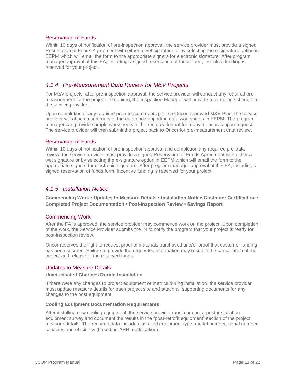# Reservation of Funds

Within 10 days of notification of pre-inspection approval, the service provider must provide a signed Reservation of Funds Agreement with either a wet signature or by selecting the e-signature option in EEPM which will email the form to the appropriate signers for electronic signature. After program manager approval of this FA, including a signed reservation of funds form, incentive funding is reserved for your project.

# <span id="page-12-0"></span>*4.1.4 Pre-Measurement Data Review for M&V Projects*

For M&V projects, after pre-inspection approval, the service provider will conduct any required premeasurement for the project. If required, the Inspection Manager will provide a sampling schedule to the service provider.

Upon completion of any required pre-measurements per the Oncor approved M&V Plan, the service provider will attach a summary of the data and supporting data worksheets in EEPM. The program manager can provide sample worksheets in the required format for many measures upon request. The service provider will then submit the project back to Oncor for pre-measurement data review.

# Reservation of Funds

Within 10 days of notification of pre-inspection approval and completion any required pre-data review, the service provider must provide a signed Reservation of Funds Agreement with either a wet signature or by selecting the e-signature option in EEPM which will email the form to the appropriate signers for electronic signature. After program manager approval of this FA, including a signed reservation of funds form, incentive funding is reserved for your project.

# <span id="page-12-1"></span>*4.1.5 Installation Notice*

**Commencing Work • Updates to Measure Details • Installation Notice Customer Certification • Completed Project Documentation • Post-Inspection Review • Savings Report**

## Commencing Work

After the FA is approved, the service provider may commence work on the project. Upon completion of the work, the Service Provider submits the IN to notify the program that your project is ready for post-inspection review.

Oncor reserves the right to request proof of materials purchased and/or proof that customer funding has been secured. Failure to provide the requested information may result in the cancellation of the project and release of the reserved funds.

# Updates to Measure Details

#### **Unanticipated Changes During Installation**

If there were any changes to project equipment or metrics during installation, the service provider must update measure details for each project site and attach all supporting documents for any changes to the post equipment.

#### **Cooling Equipment Documentation Requirements**

After installing new cooling equipment, the service provider must conduct a post-installation equipment survey and document the results in the "post-retrofit equipment" section of the project measure details. The required data includes installed equipment type, model number, serial number, capacity, and efficiency (based on AHRI certification).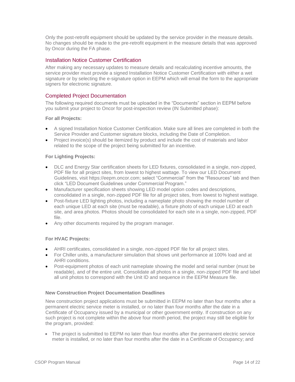Only the post-retrofit equipment should be updated by the service provider in the measure details. No changes should be made to the pre-retrofit equipment in the measure details that was approved by Oncor during the FA phase.

# Installation Notice Customer Certification

After making any necessary updates to measure details and recalculating incentive amounts, the service provider must provide a signed Installation Notice Customer Certification with either a wet signature or by selecting the e-signature option in EEPM which will email the form to the appropriate signers for electronic signature.

# Completed Project Documentation

The following required documents must be uploaded in the "Documents" section in EEPM before you submit your project to Oncor for post-inspection review (IN Submitted phase):

## **For all Projects:**

- A signed Installation Notice Customer Certification. Make sure all lines are completed in both the Service Provider and Customer signature blocks, including the Date of Completion.
- Project invoice(s) should be itemized by product and include the cost of materials and labor related to the scope of the project being submitted for an incentive.

## **For Lighting Projects:**

- DLC and Energy Star certification sheets for LED fixtures, consolidated in a single, non-zipped, PDF file for all project sites, from lowest to highest wattage. To view our LED Document Guidelines, visit [https://eepm.oncor.com;](https://eepm.oncor.com/) select "Commercial" from the "Resources" tab and then click "LED Document Guidelines under Commercial Program."
- Manufacturer specification sheets showing LED model option codes and descriptions, consolidated in a single, non-zipped PDF file for all project sites, from lowest to highest wattage.
- Post-fixture LED lighting photos, including a nameplate photo showing the model number of each unique LED at each site (must be readable), a fixture photo of each unique LED at each site, and area photos. Photos should be consolidated for each site in a single, non-zipped, PDF file.
- Any other documents required by the program manager.

## **For HVAC Projects:**

- AHRI certificates, consolidated in a single, non-zipped PDF file for all project sites.
- For Chiller units, a manufacturer simulation that shows unit performance at 100% load and at AHRI conditions.
- Post-equipment photos of each unit nameplate showing the model and serial number (must be readable), and of the entire unit. Consolidate all photos in a single, non-zipped PDF file and label all unit photos to correspond with the Unit ID and sequence in the EEPM Measure file.

## **New Construction Project Documentation Deadlines**

New construction project applications must be submitted in EEPM no later than four months after a permanent electric service meter is installed, or no later than four months after the date in a Certificate of Occupancy issued by a municipal or other government entity. If construction on any such project is not complete within the above four month period, the project may still be eligible for the program, provided:

 The project is submitted to EEPM no later than four months after the permanent electric service meter is installed, or no later than four months after the date in a Certificate of Occupancy; and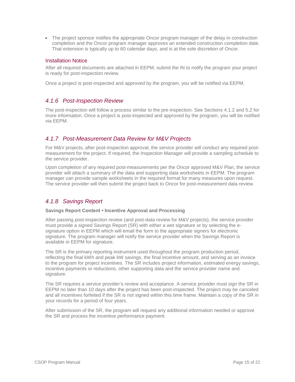The project sponsor notifies the appropriate Oncor program manager of the delay in construction completion and the Oncor program manager approves an extended construction completion date. That extension is typically up to 60 calendar days, and is at the sole discretion of Oncor.

# Installation Notice

After all required documents are attached in EEPM, submit the IN to notify the program your project is ready for post-inspection review.

Once a project is post-inspected and approved by the program, you will be notified via EEPM.

# <span id="page-14-0"></span>*4.1.6 Post-Inspection Review*

The post-inspection will follow a process similar to the pre-inspection. See Sections 4.1.2 and 5.2 for more information. Once a project is post-inspected and approved by the program, you will be notified via EEPM.

# <span id="page-14-1"></span>*4.1.7 Post-Measurement Data Review for M&V Projects*

For M&V projects, after post-inspection approval, the service provider will conduct any required postmeasurement for the project. If required, the Inspection Manager will provide a sampling schedule to the service provider.

Upon completion of any required post-measurements per the Oncor approved M&V Plan, the service provider will attach a summary of the data and supporting data worksheets in EEPM. The program manager can provide sample worksheets in the required format for many measures upon request. The service provider will then submit the project back to Oncor for post-measurement data review.

# <span id="page-14-2"></span>*4.1.8 Savings Report*

## **Savings Report Content • Incentive Approval and Processing**

After passing post-inspection review (and post-data review for M&V projects), the service provider must provide a signed Savings Report (SR) with either a wet signature or by selecting the esignature option in EEPM which will email the form to the appropriate signers for electronic signature. The program manager will notify the service provider when the Savings Report is available in EEPM for signature.

The SR is the primary reporting instrument used throughout the program production period, reflecting the final kWh and peak kW savings, the final incentive amount, and serving as an invoice to the program for project incentives. The SR includes project information, estimated energy savings, incentive payments or reductions, other supporting data and the service provider name and signature.

The SR requires a service provider's review and acceptance. A service provider must sign the SR in EEPM no later than 10 days after the project has been post-inspected. The project may be canceled and all incentives forfeited if the SR is not signed within this time frame. Maintain a copy of the SR in your records for a period of four years.

After submission of the SR, the program will request any additional information needed or approve the SR and process the incentive performance payment.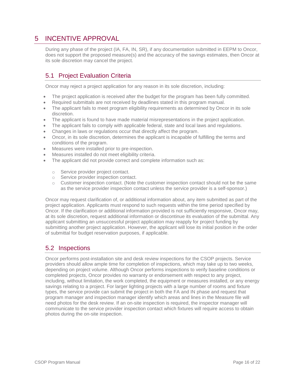# <span id="page-15-0"></span>5 INCENTIVE APPROVAL

During any phase of the project (IA, FA, IN, SR), if any documentation submitted in EEPM to Oncor, does not support the proposed measure(s) and the accuracy of the savings estimates, then Oncor at its sole discretion may cancel the project.

# <span id="page-15-1"></span>5.1 Project Evaluation Criteria

Oncor may reject a project application for any reason in its sole discretion, including:

- The project application is received after the budget for the program has been fully committed.
- Required submittals are not received by deadlines stated in this program manual.
- The applicant fails to meet program eligibility requirements as determined by Oncor in its sole discretion.
- The applicant is found to have made material misrepresentations in the project application.
- The applicant fails to comply with applicable federal, state and local laws and regulations.
- Changes in laws or regulations occur that directly affect the program.
- Oncor, in its sole discretion, determines the applicant is incapable of fulfilling the terms and conditions of the program.
- Measures were installed prior to pre-inspection.
- Measures installed do not meet eligibility criteria.
- The applicant did not provide correct and complete information such as:
	- o Service provider project contact.
	- o Service provider inspection contact.
	- $\circ$  Customer inspection contact. (Note the customer inspection contact should not be the same as the service provider inspection contact unless the service provider is a self-sponsor.)

Oncor may request clarification of, or additional information about, any item submitted as part of the project application. Applicants must respond to such requests within the time period specified by Oncor. If the clarification or additional information provided is not sufficiently responsive, Oncor may, at its sole discretion, request additional information or discontinue its evaluation of the submittal. Any applicant submitting an unsuccessful project application may reapply for project funding by submitting another project application. However, the applicant will lose its initial position in the order of submittal for budget reservation purposes, if applicable.

# <span id="page-15-2"></span>5.2 Inspections

Oncor performs post-installation site and desk review inspections for the CSOP projects. Service providers should allow ample time for completion of inspections, which may take up to two weeks, depending on project volume. Although Oncor performs inspections to verify baseline conditions or completed projects, Oncor provides no warranty or endorsement with respect to any project, including, without limitation, the work completed, the equipment or measures installed, or any energy savings relating to a project. For larger lighting projects with a large number of rooms and fixture types, the service provide can submit the project in both the FA and IN phase and request that program manager and inspection manager identify which areas and lines in the Measure file will need photos for the desk review. If an on-site inspection is required, the inspector manager will communicate to the service provider inspection contact which fixtures will require access to obtain photos during the on-site inspection.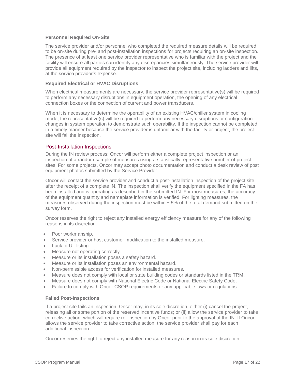## **Personnel Required On-Site**

The service provider and/or personnel who completed the required measure details will be required to be on-site during pre- and post-installation inspections for projects requiring an on-site inspection. The presence of at least one service provider representative who is familiar with the project and the facility will ensure all parties can identify any discrepancies simultaneously. The service provider will provide all equipment required by the inspector to inspect the project site, including ladders and lifts, at the service provider's expense.

#### **Required Electrical or HVAC Disruptions**

When electrical measurements are necessary, the service provider representative(s) will be required to perform any necessary disruptions in equipment operation, the opening of any electrical connection boxes or the connection of current and power transducers.

When it is necessary to determine the operability of an existing HVAC/chiller system in cooling mode, the representative(s) will be required to perform any necessary disruptions or configuration changes in system operation to demonstrate such operability. If the inspection cannot be completed in a timely manner because the service provider is unfamiliar with the facility or project, the project site will fail the inspection.

## Post-Installation Inspections

During the IN review process; Oncor will perform either a complete project inspection or an inspection of a random sample of measures using a statistically representative number of project sites. For some projects, Oncor may accept photo documentation and conduct a desk review of post equipment photos submitted by the Service Provider.

Oncor will contact the service provider and conduct a post-installation inspection of the project site after the receipt of a complete IN. The inspection shall verify the equipment specified in the FA has been installed and is operating as described in the submitted IN. For most measures, the accuracy of the equipment quantity and nameplate information is verified. For lighting measures, the measures observed during the inspection must be within  $\pm$  5% of the total demand submitted on the survey form.

Oncor reserves the right to reject any installed energy efficiency measure for any of the following reasons in its discretion:

- Poor workmanship.
- Service provider or host customer modification to the installed measure.
- Lack of UL listing.
- Measure not operating correctly.
- Measure or its installation poses a safety hazard.
- Measure or its installation poses an environmental hazard.
- Non-permissible access for verification for installed measures.
- Measure does not comply with local or state building codes or standards listed in the TRM.
- Measure does not comply with National Electric Code or National Electric Safety Code.
- Failure to comply with Oncor CSOP requirements or any applicable laws or regulations.

#### **Failed Post-Inspections**

If a project site fails an inspection, Oncor may, in its sole discretion, either (i) cancel the project, releasing all or some portion of the reserved incentive funds; or (ii) allow the service provider to take corrective action, which will require re- inspection by Oncor prior to the approval of the IN. If Oncor allows the service provider to take corrective action, the service provider shall pay for each additional inspection.

Oncor reserves the right to reject any installed measure for any reason in its sole discretion.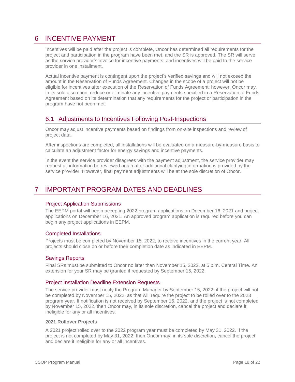# <span id="page-17-0"></span>6 INCENTIVE PAYMENT

Incentives will be paid after the project is complete, Oncor has determined all requirements for the project and participation in the program have been met, and the SR is approved. The SR will serve as the service provider's invoice for incentive payments, and incentives will be paid to the service provider in one installment.

Actual incentive payment is contingent upon the project's verified savings and will not exceed the amount in the Reservation of Funds Agreement. Changes in the scope of a project will not be eligible for incentives after execution of the Reservation of Funds Agreement; however, Oncor may, in its sole discretion, reduce or eliminate any incentive payments specified in a Reservation of Funds Agreement based on its determination that any requirements for the project or participation in the program have not been met.

# <span id="page-17-1"></span>6.1 Adjustments to Incentives Following Post-Inspections

Oncor may adjust incentive payments based on findings from on-site inspections and review of project data.

After inspections are completed, all installations will be evaluated on a measure-by-measure basis to calculate an adjustment factor for energy savings and incentive payments.

In the event the service provider disagrees with the payment adjustment, the service provider may request all information be reviewed again after additional clarifying information is provided by the service provider. However, final payment adjustments will be at the sole discretion of Oncor.

# <span id="page-17-2"></span>7 IMPORTANT PROGRAM DATES AND DEADLINES

# Project Application Submissions

The EEPM portal will begin accepting 2022 program applications on December 16, 2021 and project applications on December 16, 2021. An approved program application is required before you can begin any project applications in EEPM.

# Completed Installations

Projects must be completed by November 15, 2022, to receive incentives in the current year. All projects should close on or before their completion date as indicated in EEPM.

# Savings Reports

Final SRs must be submitted to Oncor no later than November 15, 2022, at 5 p.m. Central Time. An extension for your SR may be granted if requested by September 15, 2022.

## Project Installation Deadline Extension Requests

The service provider must notify the Program Manager by September 15, 2022, if the project will not be completed by November 15, 2022, as that will require the project to be rolled over to the 2023 program year. If notification is not received by September 15, 2022, and the project is not completed by November 15, 2022, then Oncor may, in its sole discretion, cancel the project and declare it ineligible for any or all incentives.

## **2021 Rollover Projects**

A 2021 project rolled over to the 2022 program year must be completed by May 31, 2022. If the project is not completed by May 31, 2022, then Oncor may, in its sole discretion, cancel the project and declare it ineligible for any or all incentives.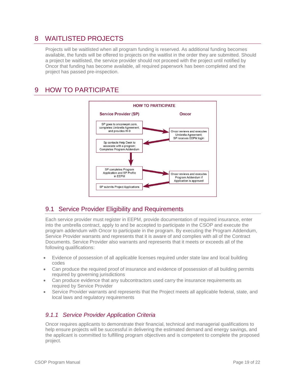# <span id="page-18-0"></span>8 WAITLISTED PROJECTS

Projects will be waitlisted when all program funding is reserved. As additional funding becomes available, the funds will be offered to projects on the waitlist in the order they are submitted. Should a project be waitlisted, the service provider should not proceed with the project until notified by Oncor that funding has become available, all required paperwork has been completed and the project has passed pre-inspection.

# <span id="page-18-1"></span>9 HOW TO PARTICIPATE



# <span id="page-18-2"></span>9.1 Service Provider Eligibility and Requirements

Each service provider must register in EEPM, provide documentation of required insurance, enter into the umbrella contract, apply to and be accepted to participate in the CSOP and execute the program addendum with Oncor to participate in the program. By executing the Program Addendum, Service Provider warrants and represents that it is aware of and complies with all of the Contract Documents. Service Provider also warrants and represents that it meets or exceeds all of the following qualifications:

- Evidence of possession of all applicable licenses required under state law and local building codes
- Can produce the required proof of insurance and evidence of possession of all building permits required by governing jurisdictions
- Can produce evidence that any subcontractors used carry the insurance requirements as required by Service Provider
- Service Provider warrants and represents that the Project meets all applicable federal, state, and local laws and regulatory requirements

# <span id="page-18-3"></span>*9.1.1 Service Provider Application Criteria*

Oncor requires applicants to demonstrate their financial, technical and managerial qualifications to help ensure projects will be successful in delivering the estimated demand and energy savings, and the applicant is committed to fulfilling program objectives and is competent to complete the proposed project.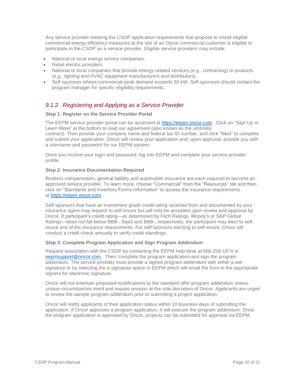Any service provider meeting the CSOP application requirements that propose to install eligible commercial energy efficiency measures at the site of an Oncor commercial customer is eligible to participate in the CSOP as a service provider. Eligible service providers may include:

- National or local energy service companies.
- Retail electric providers.
- National or local companies that provide energy-related services (e.g., contracting) or products (e.g., lighting and HVAC equipment manufacturers and distributors).
- Self-sponsors whose commercial peak demand exceeds 50 kW. Self-sponsors should contact the program manager for specific eligibility requirements.

# <span id="page-19-0"></span>*9.1.2 Registering and Applying as a Service Provider*

# **Step 1: Register on the Service Provider Portal**

The EEPM service provider portal can be accessed at [https://eepm.oncor.com](https://eepm.oncor.com/) . Click on "Sign Up or Learn More" at the bottom to read our agreement (also known as the umbrella contract). Then provide your company name and federal tax ID number, and click "Next" to complete and submit your application. Oncor will review your application and, upon approval, provide you with a username and password for our EEPM system.

Once you receive your login and password, log into EEPM and complete your service provider profile.

# **Step 2: Insurance Documentation Required**

Workers compensation, general liability and automobile insurance are each required to become an approved service provider. To learn more, choose "Commercial" from the "Resources" tab and then click on "Standards and Inventory Forms Information" to access the insurance requirements at [https://eepm.oncor.com](https://eepm.oncor.com/) .

Self-sponsors that have an investment grade credit rating received from and documented by your insurance agent may request to self-insure but will only be accepted upon review and approval by Oncor. If participant's credit rating—as determined by Fitch Ratings, Moody's or S&P Global Ratings—does not fall below BBB-, Baa3 and BBB-, respectively, the participant may elect to selfinsure any of the insurance requirements. For self-sponsors electing to self-insure, Oncor will conduct a credit check annually to verify credit standings.

## **Step 3: Complete Program Application and Sign Program Addendum**

Request association with the CSOP by contacting the EEPM help desk at 866-258-1874 or eep[msupport@oncor.com](mailto:support@oncor.com) . Then, complete the program application and sign the program addendum. The service provider must provide a signed program addendum with either a wet signature or by selecting the e-signature option in EEPM which will email the form to the appropriate signers for electronic signature.

Oncor will not entertain proposed modifications to the standard offer program addendum unless unique circumstances merit and require revision at the sole discretion of Oncor. Applicants are urged to review the sample program addendum prior to submitting a project application.

Oncor will notify applicants of their application status within 10 business days of submitting the application. If Oncor approves a program application, it will execute the program addendum. Once the program application is approved by Oncor, projects can be submitted for approval via EEPM.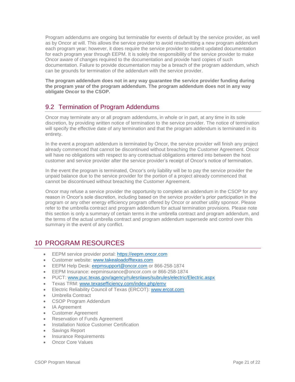Program addendums are ongoing but terminable for events of default by the service provider, as well as by Oncor at will. This allows the service provider to avoid resubmitting a new program addendum each program year; however, it does require the service provider to submit updated documentation for each program year through EEPM. It is solely the responsibility of the service provider to make Oncor aware of changes required to the documentation and provide hard copies of such documentation. Failure to provide documentation may be a breach of the program addendum, which can be grounds for termination of the addendum with the service provider.

**The program addendum does not in any way guarantee the service provider funding during the program year of the program addendum. The program addendum does not in any way obligate Oncor to the CSOP.**

# <span id="page-20-0"></span>9.2 Termination of Program Addendums

Oncor may terminate any or all program addendums, in whole or in part, at any time in its sole discretion, by providing written notice of termination to the service provider. The notice of termination will specify the effective date of any termination and that the program addendum is terminated in its entirety.

In the event a program addendum is terminated by Oncor, the service provider will finish any project already commenced that cannot be discontinued without breaching the Customer Agreement. Oncor will have no obligations with respect to any contractual obligations entered into between the host customer and service provider after the service provider's receipt of Oncor's notice of termination.

In the event the program is terminated, Oncor's only liability will be to pay the service provider the unpaid balance due to the service provider for the portion of a project already commenced that cannot be discontinued without breaching the Customer Agreement.

Oncor may refuse a service provider the opportunity to complete an addendum in the CSOP for any reason in Oncor's sole discretion, including based on the service provider's prior participation in the program or any other energy efficiency program offered by Oncor or another utility sponsor. Please refer to the umbrella contract and program addendum for actual termination provisions. Please note this section is only a summary of certain terms in the umbrella contract and program addendum, and the terms of the actual umbrella contract and program addendum supersede and control over this summary in the event of any conflict.

# <span id="page-20-1"></span>10 PROGRAM RESOURCES

- EEPM service provider portal: [https://eepm.oncor.com](https://eepm.oncor.com/)
- **Customer website:** [www.takealoadofftexas.com](http://www.takealoadofftexas.com/)
- EEPM Help Desk: eep[msupport@oncor.com](mailto:support@oncor.com) or 866-258-1874
- EEPM Insurance: [eepminsurance@oncor.com](mailto:eepminsurance@oncor.com) or 866-258-1874
- PUCT: [www.puc.texas.gov/agency/rulesnlaws/subrules/electric/Electric.aspx](http://www.puc.texas.gov/agency/rulesnlaws/subrules/electric/Electric.aspx)
- Texas TRM: [www.texasefficiency.com/index.php/emv](http://www.texasefficiency.com/index.php/emv)
- Electric Reliability Council of Texas (ERCOT): [www.ercot.com](http://www.ercot.com/)
- Umbrella Contract
- CSOP Program Addendum
- IA Agreement
- Customer Agreement
- Reservation of Funds Agreement
- Installation Notice Customer Certification
- Savings Report
- Insurance Requirements
- Oncor Core Values